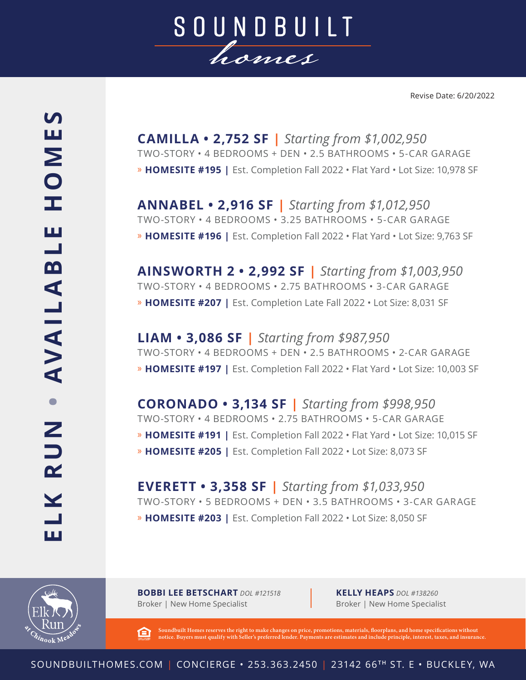

**CAMILLA • 2,752 SF |** *Starting from \$1,002,950* TWO-STORY • 4 BEDROOMS + DEN • 2.5 BATHROOMS • 5-CAR GARAGE » **HOMESITE #195 |** Est. Completion Fall 2022 • Flat Yard • Lot Size: 10,978 SF

**ANNABEL • 2,916 SF |** *Starting from \$1,012,950* TWO-STORY • 4 BEDROOMS • 3.25 BATHROOMS • 5-CAR GARAGE » **HOMESITE #196 |** Est. Completion Fall 2022 • Flat Yard • Lot Size: 9,763 SF

**AINSWORTH 2 • 2,992 SF |** *Starting from \$1,003,950* TWO-STORY • 4 BEDROOMS • 2.75 BATHROOMS • 3-CAR GARAGE » **HOMESITE #207 |** Est. Completion Late Fall 2022 • Lot Size: 8,031 SF

**LIAM • 3,086 SF |** *Starting from \$987,950* TWO-STORY • 4 BEDROOMS + DEN • 2.5 BATHROOMS • 2-CAR GARAGE » **HOMESITE #197 |** Est. Completion Fall 2022 • Flat Yard • Lot Size: 10,003 SF

**CORONADO • 3,134 SF |** *Starting from \$998,950* TWO-STORY • 4 BEDROOMS • 2.75 BATHROOMS • 5-CAR GARAGE » **HOMESITE #191 |** Est. Completion Fall 2022 • Flat Yard • Lot Size: 10,015 SF » **HOMESITE #205 |** Est. Completion Fall 2022 • Lot Size: 8,073 SF

**EVERETT • 3,358 SF |** *Starting from \$1,033,950* TWO-STORY • 5 BEDROOMS + DEN • 3.5 BATHROOMS • 3-CAR GARAGE » **HOMESITE #203 |** Est. Completion Fall 2022 • Lot Size: 8,050 SF



**BOBBI LEE BETSCHART** *DOL #121518* Broker | New Home Specialist

**KELLY HEAPS** *DOL #138260* Broker | New Home Specialist

**Soundbuilt Homes reserves the right to make changes on price, promotions, materials, floorplans, and home specifications without**  臼 **notice. Buyers must qualify with Seller's preferred lender. Payments are estimates and include principle, interest, taxes, and insurance.**